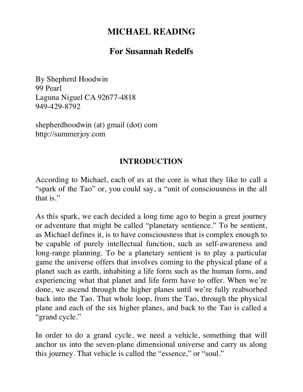# **MICHAEL READING**

# **For Susannah Redelfs**

By Shepherd Hoodwin 99 Pearl Laguna Niguel CA 92677-4818 949-429-8792

shepherdhoodwin (at) gmail (dot) com http://summerjoy.com

#### **INTRODUCTION**

According to Michael, each of us at the core is what they like to call a "spark of the Tao" or, you could say, a "unit of consciousness in the all that is."

As this spark, we each decided a long time ago to begin a great journey or adventure that might be called "planetary sentience." To be sentient, as Michael defines it, is to have consciousness that is complex enough to be capable of purely intellectual function, such as self-awareness and long-range planning. To be a planetary sentient is to play a particular game the universe offers that involves coming to the physical plane of a planet such as earth, inhabiting a life form such as the human form, and experiencing what that planet and life form have to offer. When we're done, we ascend through the higher planes until we're fully reabsorbed back into the Tao. That whole loop, from the Tao, through the physical plane and each of the six higher planes, and back to the Tao is called a "grand cycle."

In order to do a grand cycle, we need a vehicle, something that will anchor us into the seven-plane dimensional universe and carry us along this journey. That vehicle is called the "essence," or "soul."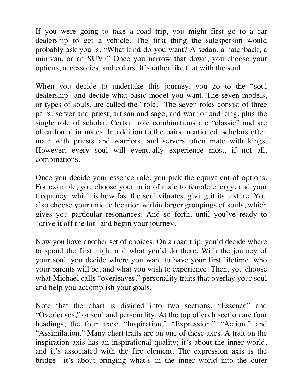If you were going to take a road trip, you might first go to a car dealership to get a vehicle. The first thing the salesperson would probably ask you is, "What kind do you want? A sedan, a hatchback, a minivan, or an SUV?" Once you narrow that down, you choose your options, accessories, and colors. It's rather like that with the soul.

When you decide to undertake this journey, you go to the "soul" dealership" and decide what basic model you want. The seven models, or types of souls, are called the "role." The seven roles consist of three pairs: server and priest, artisan and sage, and warrior and king, plus the single role of scholar. Certain role combinations are "classic" and are often found in mates. In addition to the pairs mentioned, scholars often mate with priests and warriors, and servers often mate with kings. However, every soul will eventually experience most, if not all, combinations.

Once you decide your essence role, you pick the equivalent of options. For example, you choose your ratio of male to female energy, and your frequency, which is how fast the soul vibrates, giving it its texture. You also choose your unique location within larger groupings of souls, which gives you particular resonances. And so forth, until you've ready to "drive it off the lot" and begin your journey.

Now you have another set of choices. On a road trip, you'd decide where to spend the first night and what you'd do there. With the journey of your soul, you decide where you want to have your first lifetime, who your parents will be, and what you wish to experience. Then, you choose what Michael calls "overleaves," personality traits that overlay your soul and help you accomplish your goals.

Note that the chart is divided into two sections, "Essence" and "Overleaves," or soul and personality. At the top of each section are four headings, the four axes: "Inspiration," "Expression," "Action," and "Assimilation." Many chart traits are on one of these axes. A trait on the inspiration axis has an inspirational quality; it's about the inner world, and it's associated with the fire element. The expression axis is the bridge—it's about bringing what's in the inner world into the outer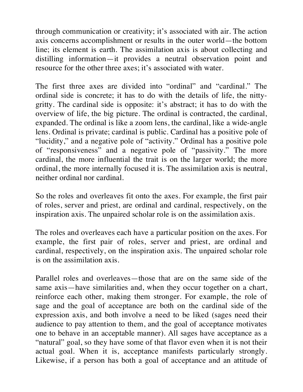through communication or creativity; it's associated with air. The action axis concerns accomplishment or results in the outer world—the bottom line; its element is earth. The assimilation axis is about collecting and distilling information—it provides a neutral observation point and resource for the other three axes; it's associated with water.

The first three axes are divided into "ordinal" and "cardinal." The ordinal side is concrete; it has to do with the details of life, the nittygritty. The cardinal side is opposite: it's abstract; it has to do with the overview of life, the big picture. The ordinal is contracted, the cardinal, expanded. The ordinal is like a zoom lens, the cardinal, like a wide-angle lens. Ordinal is private; cardinal is public. Cardinal has a positive pole of "lucidity," and a negative pole of "activity." Ordinal has a positive pole of "responsiveness" and a negative pole of "passivity." The more cardinal, the more influential the trait is on the larger world; the more ordinal, the more internally focused it is. The assimilation axis is neutral, neither ordinal nor cardinal.

So the roles and overleaves fit onto the axes. For example, the first pair of roles, server and priest, are ordinal and cardinal, respectively, on the inspiration axis. The unpaired scholar role is on the assimilation axis.

The roles and overleaves each have a particular position on the axes. For example, the first pair of roles, server and priest, are ordinal and cardinal, respectively, on the inspiration axis. The unpaired scholar role is on the assimilation axis.

Parallel roles and overleaves—those that are on the same side of the same axis—have similarities and, when they occur together on a chart, reinforce each other, making them stronger. For example, the role of sage and the goal of acceptance are both on the cardinal side of the expression axis, and both involve a need to be liked (sages need their audience to pay attention to them, and the goal of acceptance motivates one to behave in an acceptable manner). All sages have acceptance as a "natural" goal, so they have some of that flavor even when it is not their actual goal. When it is, acceptance manifests particularly strongly. Likewise, if a person has both a goal of acceptance and an attitude of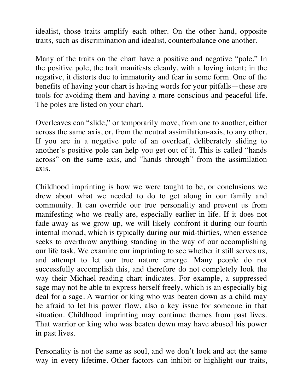idealist, those traits amplify each other. On the other hand, opposite traits, such as discrimination and idealist, counterbalance one another.

Many of the traits on the chart have a positive and negative "pole." In the positive pole, the trait manifests cleanly, with a loving intent; in the negative, it distorts due to immaturity and fear in some form. One of the benefits of having your chart is having words for your pitfalls—these are tools for avoiding them and having a more conscious and peaceful life. The poles are listed on your chart.

Overleaves can "slide," or temporarily move, from one to another, either across the same axis, or, from the neutral assimilation-axis, to any other. If you are in a negative pole of an overleaf, deliberately sliding to another's positive pole can help you get out of it. This is called "hands across" on the same axis, and "hands through" from the assimilation axis.

Childhood imprinting is how we were taught to be, or conclusions we drew about what we needed to do to get along in our family and community. It can override our true personality and prevent us from manifesting who we really are, especially earlier in life. If it does not fade away as we grow up, we will likely confront it during our fourth internal monad, which is typically during our mid-thirties, when essence seeks to overthrow anything standing in the way of our accomplishing our life task. We examine our imprinting to see whether it still serves us, and attempt to let our true nature emerge. Many people do not successfully accomplish this, and therefore do not completely look the way their Michael reading chart indicates. For example, a suppressed sage may not be able to express herself freely, which is an especially big deal for a sage. A warrior or king who was beaten down as a child may be afraid to let his power flow, also a key issue for someone in that situation. Childhood imprinting may continue themes from past lives. That warrior or king who was beaten down may have abused his power in past lives.

Personality is not the same as soul, and we don't look and act the same way in every lifetime. Other factors can inhibit or highlight our traits,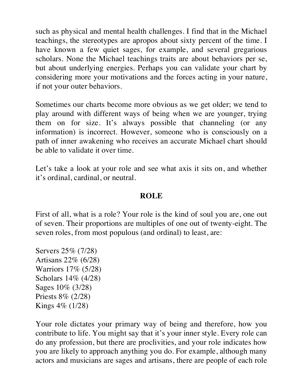such as physical and mental health challenges. I find that in the Michael teachings, the stereotypes are apropos about sixty percent of the time. I have known a few quiet sages, for example, and several gregarious scholars. None the Michael teachings traits are about behaviors per se, but about underlying energies. Perhaps you can validate your chart by considering more your motivations and the forces acting in your nature, if not your outer behaviors.

Sometimes our charts become more obvious as we get older; we tend to play around with different ways of being when we are younger, trying them on for size. It's always possible that channeling (or any information) is incorrect. However, someone who is consciously on a path of inner awakening who receives an accurate Michael chart should be able to validate it over time.

Let's take a look at your role and see what axis it sits on, and whether it's ordinal, cardinal, or neutral.

#### **ROLE**

First of all, what is a role? Your role is the kind of soul you are, one out of seven. Their proportions are multiples of one out of twenty-eight. The seven roles, from most populous (and ordinal) to least, are:

Servers 25% (7/28) Artisans 22% (6/28) Warriors 17% (5/28) Scholars 14% (4/28) Sages 10% (3/28) Priests 8% (2/28) Kings 4% (1/28)

Your role dictates your primary way of being and therefore, how you contribute to life. You might say that it's your inner style. Every role can do any profession, but there are proclivities, and your role indicates how you are likely to approach anything you do. For example, although many actors and musicians are sages and artisans, there are people of each role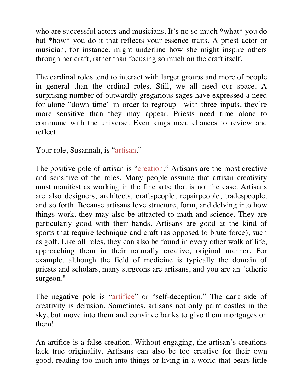who are successful actors and musicians. It's no so much \*what\* you do but \*how\* you do it that reflects your essence traits. A priest actor or musician, for instance, might underline how she might inspire others through her craft, rather than focusing so much on the craft itself.

The cardinal roles tend to interact with larger groups and more of people in general than the ordinal roles. Still, we all need our space. A surprising number of outwardly gregarious sages have expressed a need for alone "down time" in order to regroup—with three inputs, they're more sensitive than they may appear. Priests need time alone to commune with the universe. Even kings need chances to review and reflect.

Your role, Susannah, is "artisan."

The positive pole of artisan is "creation." Artisans are the most creative and sensitive of the roles. Many people assume that artisan creativity must manifest as working in the fine arts; that is not the case. Artisans are also designers, architects, craftspeople, repairpeople, tradespeople, and so forth. Because artisans love structure, form, and delving into how things work, they may also be attracted to math and science. They are particularly good with their hands. Artisans are good at the kind of sports that require technique and craft (as opposed to brute force), such as golf. Like all roles, they can also be found in every other walk of life, approaching them in their naturally creative, original manner. For example, although the field of medicine is typically the domain of priests and scholars, many surgeons are artisans, and you are an "etheric surgeon."

The negative pole is "artifice" or "self-deception." The dark side of creativity is delusion. Sometimes, artisans not only paint castles in the sky, but move into them and convince banks to give them mortgages on them!

An artifice is a false creation. Without engaging, the artisan's creations lack true originality. Artisans can also be too creative for their own good, reading too much into things or living in a world that bears little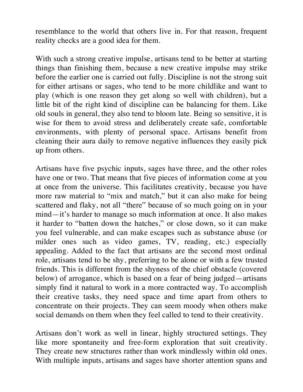resemblance to the world that others live in. For that reason, frequent reality checks are a good idea for them.

With such a strong creative impulse, artisans tend to be better at starting things than finishing them, because a new creative impulse may strike before the earlier one is carried out fully. Discipline is not the strong suit for either artisans or sages, who tend to be more childlike and want to play (which is one reason they get along so well with children), but a little bit of the right kind of discipline can be balancing for them. Like old souls in general, they also tend to bloom late. Being so sensitive, it is wise for them to avoid stress and deliberately create safe, comfortable environments, with plenty of personal space. Artisans benefit from cleaning their aura daily to remove negative influences they easily pick up from others.

Artisans have five psychic inputs, sages have three, and the other roles have one or two. That means that five pieces of information come at you at once from the universe. This facilitates creativity, because you have more raw material to "mix and match," but it can also make for being scattered and flaky, not all "there" because of so much going on in your mind—it's harder to manage so much information at once. It also makes it harder to "batten down the hatches," or close down, so it can make you feel vulnerable, and can make escapes such as substance abuse (or milder ones such as video games, TV, reading, etc.) especially appealing. Added to the fact that artisans are the second most ordinal role, artisans tend to be shy, preferring to be alone or with a few trusted friends. This is different from the shyness of the chief obstacle (covered below) of arrogance, which is based on a fear of being judged—artisans simply find it natural to work in a more contracted way. To accomplish their creative tasks, they need space and time apart from others to concentrate on their projects. They can seem moody when others make social demands on them when they feel called to tend to their creativity.

Artisans don't work as well in linear, highly structured settings. They like more spontaneity and free-form exploration that suit creativity. They create new structures rather than work mindlessly within old ones. With multiple inputs, artisans and sages have shorter attention spans and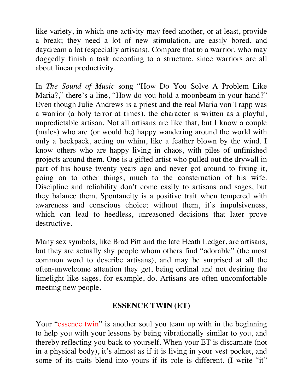like variety, in which one activity may feed another, or at least, provide a break; they need a lot of new stimulation, are easily bored, and daydream a lot (especially artisans). Compare that to a warrior, who may doggedly finish a task according to a structure, since warriors are all about linear productivity.

In *The Sound of Music* song "How Do You Solve A Problem Like Maria?," there's a line, "How do you hold a moonbeam in your hand?" Even though Julie Andrews is a priest and the real Maria von Trapp was a warrior (a holy terror at times), the character is written as a playful, unpredictable artisan. Not all artisans are like that, but I know a couple (males) who are (or would be) happy wandering around the world with only a backpack, acting on whim, like a feather blown by the wind. I know others who are happy living in chaos, with piles of unfinished projects around them. One is a gifted artist who pulled out the drywall in part of his house twenty years ago and never got around to fixing it, going on to other things, much to the consternation of his wife. Discipline and reliability don't come easily to artisans and sages, but they balance them. Spontaneity is a positive trait when tempered with awareness and conscious choice; without them, it's impulsiveness, which can lead to heedless, unreasoned decisions that later prove destructive.

Many sex symbols, like Brad Pitt and the late Heath Ledger, are artisans, but they are actually shy people whom others find "adorable" (the most common word to describe artisans), and may be surprised at all the often-unwelcome attention they get, being ordinal and not desiring the limelight like sages, for example, do. Artisans are often uncomfortable meeting new people.

### **ESSENCE TWIN (ET)**

Your "essence twin" is another soul you team up with in the beginning to help you with your lessons by being vibrationally similar to you, and thereby reflecting you back to yourself. When your ET is discarnate (not in a physical body), it's almost as if it is living in your vest pocket, and some of its traits blend into yours if its role is different. (I write "it"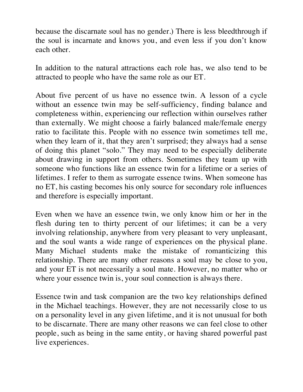because the discarnate soul has no gender.) There is less bleedthrough if the soul is incarnate and knows you, and even less if you don't know each other.

In addition to the natural attractions each role has, we also tend to be attracted to people who have the same role as our ET.

About five percent of us have no essence twin. A lesson of a cycle without an essence twin may be self-sufficiency, finding balance and completeness within, experiencing our reflection within ourselves rather than externally. We might choose a fairly balanced male/female energy ratio to facilitate this. People with no essence twin sometimes tell me, when they learn of it, that they aren't surprised; they always had a sense of doing this planet "solo." They may need to be especially deliberate about drawing in support from others. Sometimes they team up with someone who functions like an essence twin for a lifetime or a series of lifetimes. I refer to them as surrogate essence twins. When someone has no ET, his casting becomes his only source for secondary role influences and therefore is especially important.

Even when we have an essence twin, we only know him or her in the flesh during ten to thirty percent of our lifetimes; it can be a very involving relationship, anywhere from very pleasant to very unpleasant, and the soul wants a wide range of experiences on the physical plane. Many Michael students make the mistake of romanticizing this relationship. There are many other reasons a soul may be close to you, and your ET is not necessarily a soul mate. However, no matter who or where your essence twin is, your soul connection is always there.

Essence twin and task companion are the two key relationships defined in the Michael teachings. However, they are not necessarily close to us on a personality level in any given lifetime, and it is not unusual for both to be discarnate. There are many other reasons we can feel close to other people, such as being in the same entity, or having shared powerful past live experiences.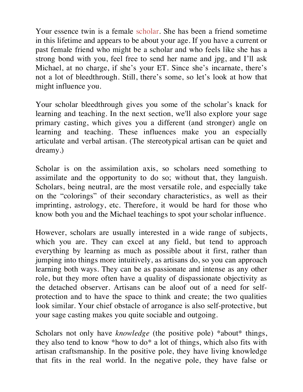Your essence twin is a female scholar. She has been a friend sometime in this lifetime and appears to be about your age. If you have a current or past female friend who might be a scholar and who feels like she has a strong bond with you, feel free to send her name and jpg, and I'll ask Michael, at no charge, if she's your ET. Since she's incarnate, there's not a lot of bleedthrough. Still, there's some, so let's look at how that might influence you.

Your scholar bleedthrough gives you some of the scholar's knack for learning and teaching. In the next section, we'll also explore your sage primary casting, which gives you a different (and stronger) angle on learning and teaching. These influences make you an especially articulate and verbal artisan. (The stereotypical artisan can be quiet and dreamy.)

Scholar is on the assimilation axis, so scholars need something to assimilate and the opportunity to do so; without that, they languish. Scholars, being neutral, are the most versatile role, and especially take on the "colorings" of their secondary characteristics, as well as their imprinting, astrology, etc. Therefore, it would be hard for those who know both you and the Michael teachings to spot your scholar influence.

However, scholars are usually interested in a wide range of subjects, which you are. They can excel at any field, but tend to approach everything by learning as much as possible about it first, rather than jumping into things more intuitively, as artisans do, so you can approach learning both ways. They can be as passionate and intense as any other role, but they more often have a quality of dispassionate objectivity as the detached observer. Artisans can be aloof out of a need for selfprotection and to have the space to think and create; the two qualities look similar. Your chief obstacle of arrogance is also self-protective, but your sage casting makes you quite sociable and outgoing.

Scholars not only have *knowledge* (the positive pole) \*about\* things, they also tend to know \*how to do\* a lot of things, which also fits with artisan craftsmanship. In the positive pole, they have living knowledge that fits in the real world. In the negative pole, they have false or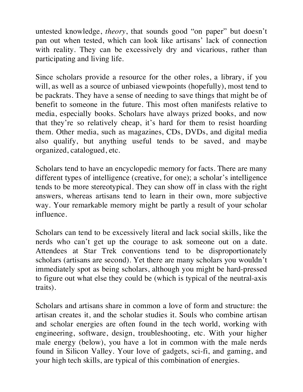untested knowledge, *theory*, that sounds good "on paper" but doesn't pan out when tested, which can look like artisans' lack of connection with reality. They can be excessively dry and vicarious, rather than participating and living life.

Since scholars provide a resource for the other roles, a library, if you will, as well as a source of unbiased viewpoints (hopefully), most tend to be packrats. They have a sense of needing to save things that might be of benefit to someone in the future. This most often manifests relative to media, especially books. Scholars have always prized books, and now that they're so relatively cheap, it's hard for them to resist hoarding them. Other media, such as magazines, CDs, DVDs, and digital media also qualify, but anything useful tends to be saved, and maybe organized, catalogued, etc.

Scholars tend to have an encyclopedic memory for facts. There are many different types of intelligence (creative, for one); a scholar's intelligence tends to be more stereotypical. They can show off in class with the right answers, whereas artisans tend to learn in their own, more subjective way. Your remarkable memory might be partly a result of your scholar influence.

Scholars can tend to be excessively literal and lack social skills, like the nerds who can't get up the courage to ask someone out on a date. Attendees at Star Trek conventions tend to be disproportionately scholars (artisans are second). Yet there are many scholars you wouldn't immediately spot as being scholars, although you might be hard-pressed to figure out what else they could be (which is typical of the neutral-axis traits).

Scholars and artisans share in common a love of form and structure: the artisan creates it, and the scholar studies it. Souls who combine artisan and scholar energies are often found in the tech world, working with engineering, software, design, troubleshooting, etc. With your higher male energy (below), you have a lot in common with the male nerds found in Silicon Valley. Your love of gadgets, sci-fi, and gaming, and your high tech skills, are typical of this combination of energies.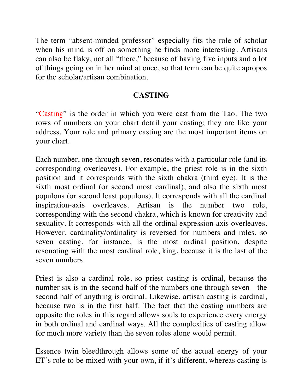The term "absent-minded professor" especially fits the role of scholar when his mind is off on something he finds more interesting. Artisans can also be flaky, not all "there," because of having five inputs and a lot of things going on in her mind at once, so that term can be quite apropos for the scholar/artisan combination.

## **CASTING**

"Casting" is the order in which you were cast from the Tao. The two rows of numbers on your chart detail your casting; they are like your address. Your role and primary casting are the most important items on your chart.

Each number, one through seven, resonates with a particular role (and its corresponding overleaves). For example, the priest role is in the sixth position and it corresponds with the sixth chakra (third eye). It is the sixth most ordinal (or second most cardinal), and also the sixth most populous (or second least populous). It corresponds with all the cardinal inspiration-axis overleaves. Artisan is the number two role, corresponding with the second chakra, which is known for creativity and sexuality. It corresponds with all the ordinal expression-axis overleaves. However, cardinality/ordinality is reversed for numbers and roles, so seven casting, for instance, is the most ordinal position, despite resonating with the most cardinal role, king, because it is the last of the seven numbers.

Priest is also a cardinal role, so priest casting is ordinal, because the number six is in the second half of the numbers one through seven—the second half of anything is ordinal. Likewise, artisan casting is cardinal, because two is in the first half. The fact that the casting numbers are opposite the roles in this regard allows souls to experience every energy in both ordinal and cardinal ways. All the complexities of casting allow for much more variety than the seven roles alone would permit.

Essence twin bleedthrough allows some of the actual energy of your ET's role to be mixed with your own, if it's different, whereas casting is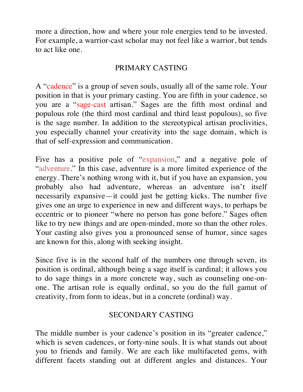more a direction, how and where your role energies tend to be invested. For example, a warrior-cast scholar may not feel like a warrior, but tends to act like one.

## PRIMARY CASTING

A "cadence" is a group of seven souls, usually all of the same role. Your position in that is your primary casting. You are fifth in your cadence, so you are a "sage-cast artisan." Sages are the fifth most ordinal and populous role (the third most cardinal and third least populous), so five is the sage number. In addition to the stereotypical artisan proclivities, you especially channel your creativity into the sage domain, which is that of self-expression and communication.

Five has a positive pole of "expansion," and a negative pole of "adventure." In this case, adventure is a more limited experience of the energy. There's nothing wrong with it, but if you have an expansion, you probably also had adventure, whereas an adventure isn't itself necessarily expansive—it could just be getting kicks. The number five gives one an urge to experience in new and different ways, to perhaps be eccentric or to pioneer "where no person has gone before." Sages often like to try new things and are open-minded, more so than the other roles. Your casting also gives you a pronounced sense of humor, since sages are known for this, along with seeking insight.

Since five is in the second half of the numbers one through seven, its position is ordinal, although being a sage itself is cardinal; it allows you to do sage things in a more concrete way, such as counseling one-onone. The artisan role is equally ordinal, so you do the full gamut of creativity, from form to ideas, but in a concrete (ordinal) way.

# SECONDARY CASTING

The middle number is your cadence's position in its "greater cadence," which is seven cadences, or forty-nine souls. It is what stands out about you to friends and family. We are each like multifaceted gems, with different facets standing out at different angles and distances. Your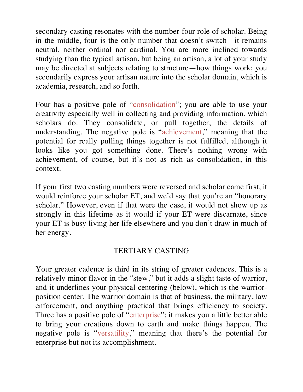secondary casting resonates with the number-four role of scholar. Being in the middle, four is the only number that doesn't switch—it remains neutral, neither ordinal nor cardinal. You are more inclined towards studying than the typical artisan, but being an artisan, a lot of your study may be directed at subjects relating to structure—how things work; you secondarily express your artisan nature into the scholar domain, which is academia, research, and so forth.

Four has a positive pole of "consolidation"; you are able to use your creativity especially well in collecting and providing information, which scholars do. They consolidate, or pull together, the details of understanding. The negative pole is "achievement," meaning that the potential for really pulling things together is not fulfilled, although it looks like you got something done. There's nothing wrong with achievement, of course, but it's not as rich as consolidation, in this context.

If your first two casting numbers were reversed and scholar came first, it would reinforce your scholar ET, and we'd say that you're an "honorary scholar." However, even if that were the case, it would not show up as strongly in this lifetime as it would if your ET were discarnate, since your ET is busy living her life elsewhere and you don't draw in much of her energy.

### TERTIARY CASTING

Your greater cadence is third in its string of greater cadences. This is a relatively minor flavor in the "stew," but it adds a slight taste of warrior, and it underlines your physical centering (below), which is the warriorposition center. The warrior domain is that of business, the military, law enforcement, and anything practical that brings efficiency to society. Three has a positive pole of "enterprise"; it makes you a little better able to bring your creations down to earth and make things happen. The negative pole is "versatility," meaning that there's the potential for enterprise but not its accomplishment.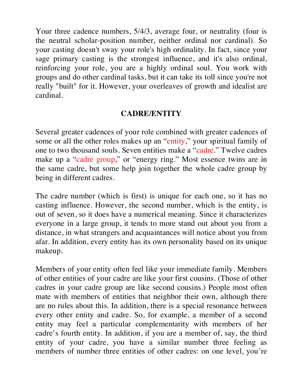Your three cadence numbers, 5/4/3, average four, or neutrality (four is the neutral scholar-position number, neither ordinal nor cardinal). So your casting doesn't sway your role's high ordinality. In fact, since your sage primary casting is the strongest influence, and it's also ordinal, reinforcing your role, you are a highly ordinal soul. You work with groups and do other cardinal tasks, but it can take its toll since you're not really "built" for it. However, your overleaves of growth and idealist are cardinal.

# **CADRE/ENTITY**

Several greater cadences of your role combined with greater cadences of some or all the other roles makes up an "entity," your spiritual family of one to two thousand souls. Seven entities make a "cadre." Twelve cadres make up a "cadre group," or "energy ring." Most essence twins are in the same cadre, but some help join together the whole cadre group by being in different cadres.

The cadre number (which is first) is unique for each one, so it has no casting influence. However, the second number, which is the entity, is out of seven, so it does have a numerical meaning. Since it characterizes everyone in a large group, it tends to more stand out about you from a distance, in what strangers and acquaintances will notice about you from afar. In addition, every entity has its own personality based on its unique makeup.

Members of your entity often feel like your immediate family. Members of other entities of your cadre are like your first cousins. (Those of other cadres in your cadre group are like second cousins.) People most often mate with members of entities that neighbor their own, although there are no rules about this. In addition, there is a special resonance between every other entity and cadre. So, for example, a member of a second entity may feel a particular complementarity with members of her cadre's fourth entity. In addition, if you are a member of, say, the third entity of your cadre, you have a similar number three feeling as members of number three entities of other cadres: on one level, you're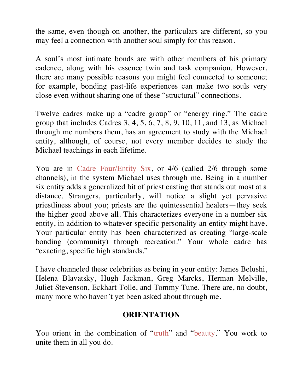the same, even though on another, the particulars are different, so you may feel a connection with another soul simply for this reason.

A soul's most intimate bonds are with other members of his primary cadence, along with his essence twin and task companion. However, there are many possible reasons you might feel connected to someone; for example, bonding past-life experiences can make two souls very close even without sharing one of these "structural" connections.

Twelve cadres make up a "cadre group" or "energy ring." The cadre group that includes Cadres 3, 4, 5, 6, 7, 8, 9, 10, 11, and 13, as Michael through me numbers them, has an agreement to study with the Michael entity, although, of course, not every member decides to study the Michael teachings in each lifetime.

You are in Cadre Four/Entity Six, or 4/6 (called 2/6 through some channels), in the system Michael uses through me. Being in a number six entity adds a generalized bit of priest casting that stands out most at a distance. Strangers, particularly, will notice a slight yet pervasive priestliness about you; priests are the quintessential healers—they seek the higher good above all. This characterizes everyone in a number six entity, in addition to whatever specific personality an entity might have. Your particular entity has been characterized as creating "large-scale bonding (community) through recreation." Your whole cadre has "exacting, specific high standards."

I have channeled these celebrities as being in your entity: James Belushi, Helena Blavatsky, Hugh Jackman, Greg Marcks, Herman Melville, Juliet Stevenson, Eckhart Tolle, and Tommy Tune. There are, no doubt, many more who haven't yet been asked about through me.

### **ORIENTATION**

You orient in the combination of "truth" and "beauty." You work to unite them in all you do.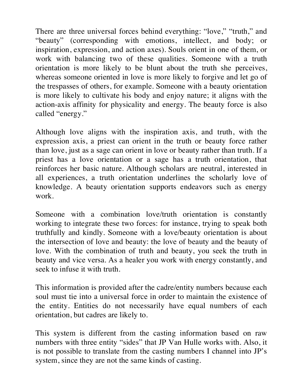There are three universal forces behind everything: "love," "truth," and "beauty" (corresponding with emotions, intellect, and body; or inspiration, expression, and action axes). Souls orient in one of them, or work with balancing two of these qualities. Someone with a truth orientation is more likely to be blunt about the truth she perceives, whereas someone oriented in love is more likely to forgive and let go of the trespasses of others, for example. Someone with a beauty orientation is more likely to cultivate his body and enjoy nature; it aligns with the action-axis affinity for physicality and energy. The beauty force is also called "energy."

Although love aligns with the inspiration axis, and truth, with the expression axis, a priest can orient in the truth or beauty force rather than love, just as a sage can orient in love or beauty rather than truth. If a priest has a love orientation or a sage has a truth orientation, that reinforces her basic nature. Although scholars are neutral, interested in all experiences, a truth orientation underlines the scholarly love of knowledge. A beauty orientation supports endeavors such as energy work.

Someone with a combination love/truth orientation is constantly working to integrate these two forces: for instance, trying to speak both truthfully and kindly. Someone with a love/beauty orientation is about the intersection of love and beauty: the love of beauty and the beauty of love. With the combination of truth and beauty, you seek the truth in beauty and vice versa. As a healer you work with energy constantly, and seek to infuse it with truth.

This information is provided after the cadre/entity numbers because each soul must tie into a universal force in order to maintain the existence of the entity. Entities do not necessarily have equal numbers of each orientation, but cadres are likely to.

This system is different from the casting information based on raw numbers with three entity "sides" that JP Van Hulle works with. Also, it is not possible to translate from the casting numbers I channel into JP's system, since they are not the same kinds of casting.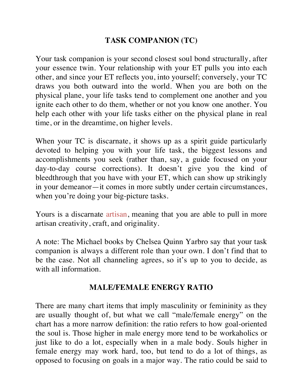# **TASK COMPANION (TC)**

Your task companion is your second closest soul bond structurally, after your essence twin. Your relationship with your ET pulls you into each other, and since your ET reflects you, into yourself; conversely, your TC draws you both outward into the world. When you are both on the physical plane, your life tasks tend to complement one another and you ignite each other to do them, whether or not you know one another. You help each other with your life tasks either on the physical plane in real time, or in the dreamtime, on higher levels.

When your TC is discarnate, it shows up as a spirit guide particularly devoted to helping you with your life task, the biggest lessons and accomplishments you seek (rather than, say, a guide focused on your day-to-day course corrections). It doesn't give you the kind of bleedthrough that you have with your ET, which can show up strikingly in your demeanor—it comes in more subtly under certain circumstances, when you're doing your big-picture tasks.

Yours is a discarnate artisan, meaning that you are able to pull in more artisan creativity, craft, and originality.

A note: The Michael books by Chelsea Quinn Yarbro say that your task companion is always a different role than your own. I don't find that to be the case. Not all channeling agrees, so it's up to you to decide, as with all information.

#### **MALE/FEMALE ENERGY RATIO**

There are many chart items that imply masculinity or femininity as they are usually thought of, but what we call "male/female energy" on the chart has a more narrow definition: the ratio refers to how goal-oriented the soul is. Those higher in male energy more tend to be workaholics or just like to do a lot, especially when in a male body. Souls higher in female energy may work hard, too, but tend to do a lot of things, as opposed to focusing on goals in a major way. The ratio could be said to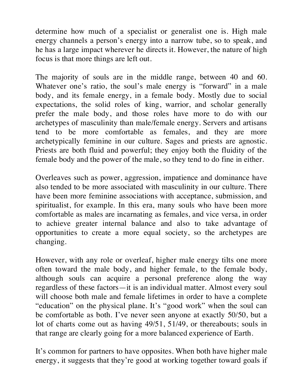determine how much of a specialist or generalist one is. High male energy channels a person's energy into a narrow tube, so to speak, and he has a large impact wherever he directs it. However, the nature of high focus is that more things are left out.

The majority of souls are in the middle range, between 40 and 60. Whatever one's ratio, the soul's male energy is "forward" in a male body, and its female energy, in a female body. Mostly due to social expectations, the solid roles of king, warrior, and scholar generally prefer the male body, and those roles have more to do with our archetypes of masculinity than male/female energy. Servers and artisans tend to be more comfortable as females, and they are more archetypically feminine in our culture. Sages and priests are agnostic. Priests are both fluid and powerful; they enjoy both the fluidity of the female body and the power of the male, so they tend to do fine in either.

Overleaves such as power, aggression, impatience and dominance have also tended to be more associated with masculinity in our culture. There have been more feminine associations with acceptance, submission, and spiritualist, for example. In this era, many souls who have been more comfortable as males are incarnating as females, and vice versa, in order to achieve greater internal balance and also to take advantage of opportunities to create a more equal society, so the archetypes are changing.

However, with any role or overleaf, higher male energy tilts one more often toward the male body, and higher female, to the female body, although souls can acquire a personal preference along the way regardless of these factors—it is an individual matter. Almost every soul will choose both male and female lifetimes in order to have a complete "education" on the physical plane. It's "good work" when the soul can be comfortable as both. I've never seen anyone at exactly 50/50, but a lot of charts come out as having 49/51, 51/49, or thereabouts; souls in that range are clearly going for a more balanced experience of Earth.

It's common for partners to have opposites. When both have higher male energy, it suggests that they're good at working together toward goals if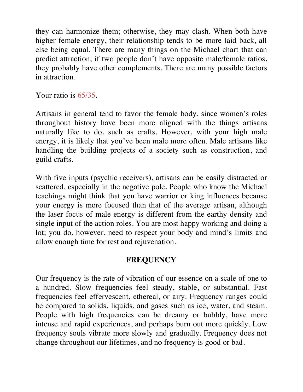they can harmonize them; otherwise, they may clash. When both have higher female energy, their relationship tends to be more laid back, all else being equal. There are many things on the Michael chart that can predict attraction; if two people don't have opposite male/female ratios, they probably have other complements. There are many possible factors in attraction.

Your ratio is 65/35.

Artisans in general tend to favor the female body, since women's roles throughout history have been more aligned with the things artisans naturally like to do, such as crafts. However, with your high male energy, it is likely that you've been male more often. Male artisans like handling the building projects of a society such as construction, and guild crafts.

With five inputs (psychic receivers), artisans can be easily distracted or scattered, especially in the negative pole. People who know the Michael teachings might think that you have warrior or king influences because your energy is more focused than that of the average artisan, although the laser focus of male energy is different from the earthy density and single input of the action roles. You are most happy working and doing a lot; you do, however, need to respect your body and mind's limits and allow enough time for rest and rejuvenation.

### **FREQUENCY**

Our frequency is the rate of vibration of our essence on a scale of one to a hundred. Slow frequencies feel steady, stable, or substantial. Fast frequencies feel effervescent, ethereal, or airy. Frequency ranges could be compared to solids, liquids, and gases such as ice, water, and steam. People with high frequencies can be dreamy or bubbly, have more intense and rapid experiences, and perhaps burn out more quickly. Low frequency souls vibrate more slowly and gradually. Frequency does not change throughout our lifetimes, and no frequency is good or bad.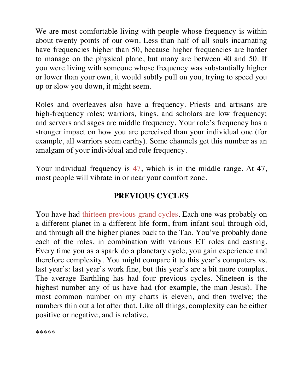We are most comfortable living with people whose frequency is within about twenty points of our own. Less than half of all souls incarnating have frequencies higher than 50, because higher frequencies are harder to manage on the physical plane, but many are between 40 and 50. If you were living with someone whose frequency was substantially higher or lower than your own, it would subtly pull on you, trying to speed you up or slow you down, it might seem.

Roles and overleaves also have a frequency. Priests and artisans are high-frequency roles; warriors, kings, and scholars are low frequency; and servers and sages are middle frequency. Your role's frequency has a stronger impact on how you are perceived than your individual one (for example, all warriors seem earthy). Some channels get this number as an amalgam of your individual and role frequency.

Your individual frequency is 47, which is in the middle range. At 47, most people will vibrate in or near your comfort zone.

# **PREVIOUS CYCLES**

You have had thirteen previous grand cycles. Each one was probably on a different planet in a different life form, from infant soul through old, and through all the higher planes back to the Tao. You've probably done each of the roles, in combination with various ET roles and casting. Every time you as a spark do a planetary cycle, you gain experience and therefore complexity. You might compare it to this year's computers vs. last year's: last year's work fine, but this year's are a bit more complex. The average Earthling has had four previous cycles. Nineteen is the highest number any of us have had (for example, the man Jesus). The most common number on my charts is eleven, and then twelve; the numbers thin out a lot after that. Like all things, complexity can be either positive or negative, and is relative.

\*\*\*\*\*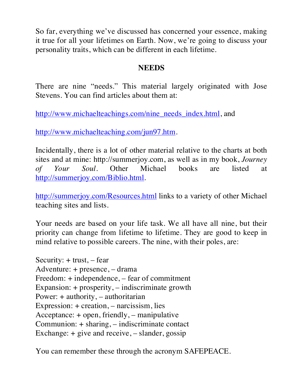So far, everything we've discussed has concerned your essence, making it true for all your lifetimes on Earth. Now, we're going to discuss your personality traits, which can be different in each lifetime.

## **NEEDS**

There are nine "needs." This material largely originated with Jose Stevens. You can find articles about them at:

http://www.michaelteachings.com/nine\_needs\_index.html, and

http://www.michaelteaching.com/jun97.htm.

Incidentally, there is a lot of other material relative to the charts at both sites and at mine: http://summerjoy.com, as well as in my book, *Journey of Your Soul*. Other Michael books are listed at http://summerjoy.com/Biblio.html.

http://summerjoy.com/Resources.html links to a variety of other Michael teaching sites and lists.

Your needs are based on your life task. We all have all nine, but their priority can change from lifetime to lifetime. They are good to keep in mind relative to possible careers. The nine, with their poles, are:

Security:  $+$  trust,  $-$  fear Adventure: + presence, – drama Freedom: + independence, – fear of commitment Expansion: + prosperity, – indiscriminate growth Power: + authority, – authoritarian Expression: + creation, – narcissism, lies Acceptance: + open, friendly, – manipulative Communion: + sharing, – indiscriminate contact Exchange: + give and receive, – slander, gossip

You can remember these through the acronym SAFEPEACE.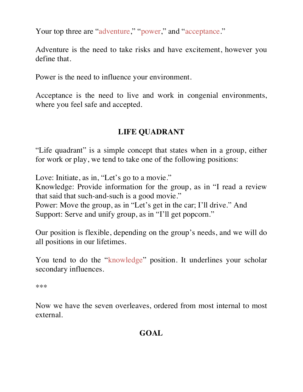Your top three are "adventure," "power," and "acceptance."

Adventure is the need to take risks and have excitement, however you define that.

Power is the need to influence your environment.

Acceptance is the need to live and work in congenial environments, where you feel safe and accepted.

#### **LIFE QUADRANT**

"Life quadrant" is a simple concept that states when in a group, either for work or play, we tend to take one of the following positions:

Love: Initiate, as in, "Let's go to a movie."

Knowledge: Provide information for the group, as in "I read a review that said that such-and-such is a good movie."

Power: Move the group, as in "Let's get in the car; I'll drive." And Support: Serve and unify group, as in "I'll get popcorn."

Our position is flexible, depending on the group's needs, and we will do all positions in our lifetimes.

You tend to do the "knowledge" position. It underlines your scholar secondary influences.

\*\*\*

Now we have the seven overleaves, ordered from most internal to most external.

### **GOAL**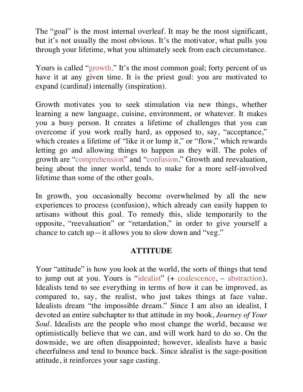The "goal" is the most internal overleaf. It may be the most significant, but it's not usually the most obvious. It's the motivator, what pulls you through your lifetime, what you ultimately seek from each circumstance.

Yours is called "growth." It's the most common goal; forty percent of us have it at any given time. It is the priest goal: you are motivated to expand (cardinal) internally (inspiration).

Growth motivates you to seek stimulation via new things, whether learning a new language, cuisine, environment, or whatever. It makes you a busy person. It creates a lifetime of challenges that you can overcome if you work really hard, as opposed to, say, "acceptance," which creates a lifetime of "like it or lump it," or "flow," which rewards letting go and allowing things to happen as they will. The poles of growth are "comprehension" and "confusion." Growth and reevaluation, being about the inner world, tends to make for a more self-involved lifetime than some of the other goals.

In growth, you occasionally become overwhelmed by all the new experiences to process (confusion), which already can easily happen to artisans without this goal. To remedy this, slide temporarily to the opposite, "reevaluation" or "retardation," in order to give yourself a chance to catch up—it allows you to slow down and "veg."

### **ATTITUDE**

Your "attitude" is how you look at the world, the sorts of things that tend to jump out at you. Yours is "idealist" (+ coalescence, – abstraction). Idealists tend to see everything in terms of how it can be improved, as compared to, say, the realist, who just takes things at face value. Idealists dream "the impossible dream." Since I am also an idealist, I devoted an entire subchapter to that attitude in my book, *Journey of Your Soul*. Idealists are the people who most change the world, because we optimistically believe that we can, and will work hard to do so. On the downside, we are often disappointed; however, idealists have a basic cheerfulness and tend to bounce back. Since idealist is the sage-position attitude, it reinforces your sage casting.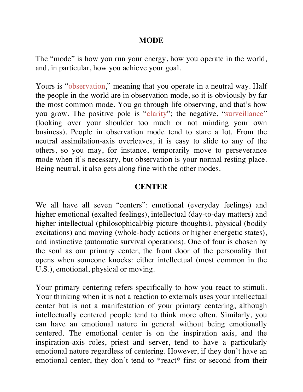#### **MODE**

The "mode" is how you run your energy, how you operate in the world, and, in particular, how you achieve your goal.

Yours is "observation," meaning that you operate in a neutral way. Half the people in the world are in observation mode, so it is obviously by far the most common mode. You go through life observing, and that's how you grow. The positive pole is "clarity"; the negative, "surveillance" (looking over your shoulder too much or not minding your own business). People in observation mode tend to stare a lot. From the neutral assimilation-axis overleaves, it is easy to slide to any of the others, so you may, for instance, temporarily move to perseverance mode when it's necessary, but observation is your normal resting place. Being neutral, it also gets along fine with the other modes.

#### **CENTER**

We all have all seven "centers": emotional (everyday feelings) and higher emotional (exalted feelings), intellectual (day-to-day matters) and higher intellectual (philosophical/big picture thoughts), physical (bodily excitations) and moving (whole-body actions or higher energetic states), and instinctive (automatic survival operations). One of four is chosen by the soul as our primary center, the front door of the personality that opens when someone knocks: either intellectual (most common in the U.S.), emotional, physical or moving.

Your primary centering refers specifically to how you react to stimuli. Your thinking when it is not a reaction to externals uses your intellectual center but is not a manifestation of your primary centering, although intellectually centered people tend to think more often. Similarly, you can have an emotional nature in general without being emotionally centered. The emotional center is on the inspiration axis, and the inspiration-axis roles, priest and server, tend to have a particularly emotional nature regardless of centering. However, if they don't have an emotional center, they don't tend to \*react\* first or second from their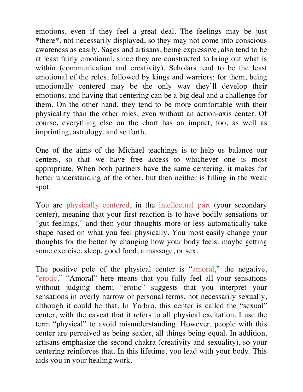emotions, even if they feel a great deal. The feelings may be just \*there\*, not necessarily displayed, so they may not come into conscious awareness as easily. Sages and artisans, being expressive, also tend to be at least fairly emotional, since they are constructed to bring out what is within (communication and creativity). Scholars tend to be the least emotional of the roles, followed by kings and warriors; for them, being emotionally centered may be the only way they'll develop their emotions, and having that centering can be a big deal and a challenge for them. On the other hand, they tend to be more comfortable with their physicality than the other roles, even without an action-axis center. Of course, everything else on the chart has an impact, too, as well as imprinting, astrology, and so forth.

One of the aims of the Michael teachings is to help us balance our centers, so that we have free access to whichever one is most appropriate. When both partners have the same centering, it makes for better understanding of the other, but then neither is filling in the weak spot.

You are physically centered, in the intellectual part (your secondary center), meaning that your first reaction is to have bodily sensations or "gut feelings," and then your thoughts more-or-less automatically take shape based on what you feel physically. You most easily change your thoughts for the better by changing how your body feels: maybe getting some exercise, sleep, good food, a massage, or sex.

The positive pole of the physical center is "amoral," the negative, "erotic." "Amoral" here means that you fully feel all your sensations without judging them; "erotic" suggests that you interpret your sensations in overly narrow or personal terms, not necessarily sexually, although it could be that. In Yarbro, this center is called the "sexual" center, with the caveat that it refers to all physical excitation. I use the term "physical" to avoid misunderstanding. However, people with this center are perceived as being sexier, all things being equal. In addition, artisans emphasize the second chakra (creativity and sexuality), so your centering reinforces that. In this lifetime, you lead with your body. This aids you in your healing work.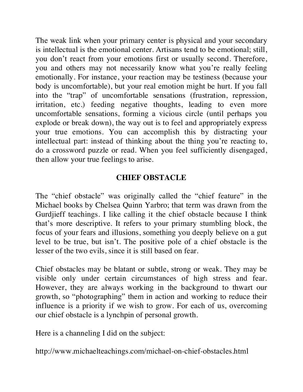The weak link when your primary center is physical and your secondary is intellectual is the emotional center. Artisans tend to be emotional; still, you don't react from your emotions first or usually second. Therefore, you and others may not necessarily know what you're really feeling emotionally. For instance, your reaction may be testiness (because your body is uncomfortable), but your real emotion might be hurt. If you fall into the "trap" of uncomfortable sensations (frustration, repression, irritation, etc.) feeding negative thoughts, leading to even more uncomfortable sensations, forming a vicious circle (until perhaps you explode or break down), the way out is to feel and appropriately express your true emotions. You can accomplish this by distracting your intellectual part: instead of thinking about the thing you're reacting to, do a crossword puzzle or read. When you feel sufficiently disengaged, then allow your true feelings to arise.

# **CHIEF OBSTACLE**

The "chief obstacle" was originally called the "chief feature" in the Michael books by Chelsea Quinn Yarbro; that term was drawn from the Gurdjieff teachings. I like calling it the chief obstacle because I think that's more descriptive. It refers to your primary stumbling block, the focus of your fears and illusions, something you deeply believe on a gut level to be true, but isn't. The positive pole of a chief obstacle is the lesser of the two evils, since it is still based on fear.

Chief obstacles may be blatant or subtle, strong or weak. They may be visible only under certain circumstances of high stress and fear. However, they are always working in the background to thwart our growth, so "photographing" them in action and working to reduce their influence is a priority if we wish to grow. For each of us, overcoming our chief obstacle is a lynchpin of personal growth.

Here is a channeling I did on the subject:

http://www.michaelteachings.com/michael-on-chief-obstacles.html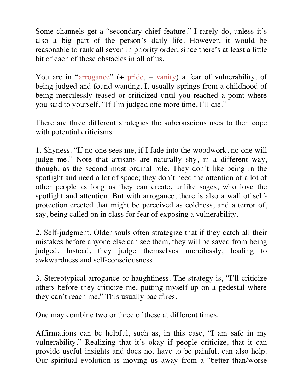Some channels get a "secondary chief feature." I rarely do, unless it's also a big part of the person's daily life. However, it would be reasonable to rank all seven in priority order, since there's at least a little bit of each of these obstacles in all of us.

You are in "arrogance" (+ pride, – vanity) a fear of vulnerability, of being judged and found wanting. It usually springs from a childhood of being mercilessly teased or criticized until you reached a point where you said to yourself, "If I'm judged one more time, I'll die."

There are three different strategies the subconscious uses to then cope with potential criticisms:

1. Shyness. "If no one sees me, if I fade into the woodwork, no one will judge me." Note that artisans are naturally shy, in a different way, though, as the second most ordinal role. They don't like being in the spotlight and need a lot of space; they don't need the attention of a lot of other people as long as they can create, unlike sages, who love the spotlight and attention. But with arrogance, there is also a wall of selfprotection erected that might be perceived as coldness, and a terror of, say, being called on in class for fear of exposing a vulnerability.

2. Self-judgment. Older souls often strategize that if they catch all their mistakes before anyone else can see them, they will be saved from being judged. Instead, they judge themselves mercilessly, leading to awkwardness and self-consciousness.

3. Stereotypical arrogance or haughtiness. The strategy is, "I'll criticize others before they criticize me, putting myself up on a pedestal where they can't reach me." This usually backfires.

One may combine two or three of these at different times.

Affirmations can be helpful, such as, in this case, "I am safe in my vulnerability." Realizing that it's okay if people criticize, that it can provide useful insights and does not have to be painful, can also help. Our spiritual evolution is moving us away from a "better than/worse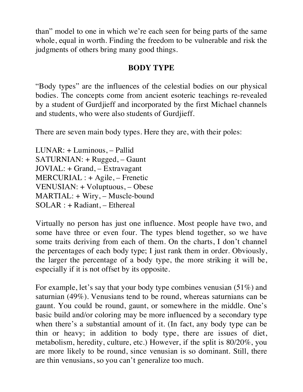than" model to one in which we're each seen for being parts of the same whole, equal in worth. Finding the freedom to be vulnerable and risk the judgments of others bring many good things.

## **BODY TYPE**

"Body types" are the influences of the celestial bodies on our physical bodies. The concepts come from ancient esoteric teachings re-revealed by a student of Gurdjieff and incorporated by the first Michael channels and students, who were also students of Gurdjieff.

There are seven main body types. Here they are, with their poles:

LUNAR: + Luminous, – Pallid SATURNIAN: + Rugged, – Gaunt JOVIAL: + Grand, – Extravagant MERCURIAL : + Agile, – Frenetic VENUSIAN: + Voluptuous, – Obese MARTIAL: + Wiry, – Muscle-bound SOLAR : + Radiant, – Ethereal

Virtually no person has just one influence. Most people have two, and some have three or even four. The types blend together, so we have some traits deriving from each of them. On the charts, I don't channel the percentages of each body type; I just rank them in order. Obviously, the larger the percentage of a body type, the more striking it will be, especially if it is not offset by its opposite.

For example, let's say that your body type combines venusian (51%) and saturnian (49%). Venusians tend to be round, whereas saturnians can be gaunt. You could be round, gaunt, or somewhere in the middle. One's basic build and/or coloring may be more influenced by a secondary type when there's a substantial amount of it. (In fact, any body type can be thin or heavy; in addition to body type, there are issues of diet, metabolism, heredity, culture, etc.) However, if the split is 80/20%, you are more likely to be round, since venusian is so dominant. Still, there are thin venusians, so you can't generalize too much.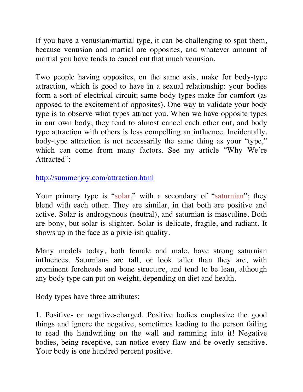If you have a venusian/martial type, it can be challenging to spot them, because venusian and martial are opposites, and whatever amount of martial you have tends to cancel out that much venusian.

Two people having opposites, on the same axis, make for body-type attraction, which is good to have in a sexual relationship: your bodies form a sort of electrical circuit; same body types make for comfort (as opposed to the excitement of opposites). One way to validate your body type is to observe what types attract you. When we have opposite types in our own body, they tend to almost cancel each other out, and body type attraction with others is less compelling an influence. Incidentally, body-type attraction is not necessarily the same thing as your "type," which can come from many factors. See my article "Why We're Attracted":

http://summerjoy.com/attraction.html

Your primary type is "solar," with a secondary of "saturnian"; they blend with each other. They are similar, in that both are positive and active. Solar is androgynous (neutral), and saturnian is masculine. Both are bony, but solar is slighter. Solar is delicate, fragile, and radiant. It shows up in the face as a pixie-ish quality.

Many models today, both female and male, have strong saturnian influences. Saturnians are tall, or look taller than they are, with prominent foreheads and bone structure, and tend to be lean, although any body type can put on weight, depending on diet and health.

Body types have three attributes:

1. Positive- or negative-charged. Positive bodies emphasize the good things and ignore the negative, sometimes leading to the person failing to read the handwriting on the wall and ramming into it! Negative bodies, being receptive, can notice every flaw and be overly sensitive. Your body is one hundred percent positive.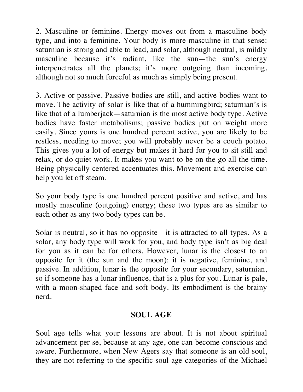2. Masculine or feminine. Energy moves out from a masculine body type, and into a feminine. Your body is more masculine in that sense: saturnian is strong and able to lead, and solar, although neutral, is mildly masculine because it's radiant, like the sun—the sun's energy interpenetrates all the planets; it's more outgoing than incoming, although not so much forceful as much as simply being present.

3. Active or passive. Passive bodies are still, and active bodies want to move. The activity of solar is like that of a hummingbird; saturnian's is like that of a lumberjack—saturnian is the most active body type. Active bodies have faster metabolisms; passive bodies put on weight more easily. Since yours is one hundred percent active, you are likely to be restless, needing to move; you will probably never be a couch potato. This gives you a lot of energy but makes it hard for you to sit still and relax, or do quiet work. It makes you want to be on the go all the time. Being physically centered accentuates this. Movement and exercise can help you let off steam.

So your body type is one hundred percent positive and active, and has mostly masculine (outgoing) energy; these two types are as similar to each other as any two body types can be.

Solar is neutral, so it has no opposite—it is attracted to all types. As a solar, any body type will work for you, and body type isn't as big deal for you as it can be for others. However, lunar is the closest to an opposite for it (the sun and the moon): it is negative, feminine, and passive. In addition, lunar is the opposite for your secondary, saturnian, so if someone has a lunar influence, that is a plus for you. Lunar is pale, with a moon-shaped face and soft body. Its embodiment is the brainy nerd.

# **SOUL AGE**

Soul age tells what your lessons are about. It is not about spiritual advancement per se, because at any age, one can become conscious and aware. Furthermore, when New Agers say that someone is an old soul, they are not referring to the specific soul age categories of the Michael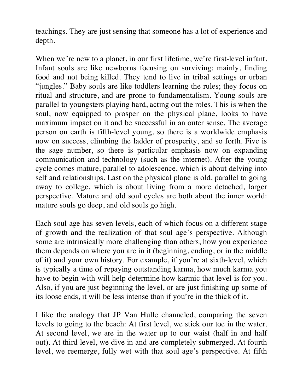teachings. They are just sensing that someone has a lot of experience and depth.

When we're new to a planet, in our first lifetime, we're first-level infant. Infant souls are like newborns focusing on surviving: mainly, finding food and not being killed. They tend to live in tribal settings or urban "jungles." Baby souls are like toddlers learning the rules; they focus on ritual and structure, and are prone to fundamentalism. Young souls are parallel to youngsters playing hard, acting out the roles. This is when the soul, now equipped to prosper on the physical plane, looks to have maximum impact on it and be successful in an outer sense. The average person on earth is fifth-level young, so there is a worldwide emphasis now on success, climbing the ladder of prosperity, and so forth. Five is the sage number, so there is particular emphasis now on expanding communication and technology (such as the internet). After the young cycle comes mature, parallel to adolescence, which is about delving into self and relationships. Last on the physical plane is old, parallel to going away to college, which is about living from a more detached, larger perspective. Mature and old soul cycles are both about the inner world: mature souls go deep, and old souls go high.

Each soul age has seven levels, each of which focus on a different stage of growth and the realization of that soul age's perspective. Although some are intrinsically more challenging than others, how you experience them depends on where you are in it (beginning, ending, or in the middle of it) and your own history. For example, if you're at sixth-level, which is typically a time of repaying outstanding karma, how much karma you have to begin with will help determine how karmic that level is for you. Also, if you are just beginning the level, or are just finishing up some of its loose ends, it will be less intense than if you're in the thick of it.

I like the analogy that JP Van Hulle channeled, comparing the seven levels to going to the beach: At first level, we stick our toe in the water. At second level, we are in the water up to our waist (half in and half out). At third level, we dive in and are completely submerged. At fourth level, we reemerge, fully wet with that soul age's perspective. At fifth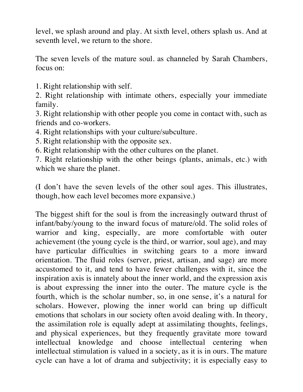level, we splash around and play. At sixth level, others splash us. And at seventh level, we return to the shore.

The seven levels of the mature soul. as channeled by Sarah Chambers, focus on:

1. Right relationship with self.

2. Right relationship with intimate others, especially your immediate family.

3. Right relationship with other people you come in contact with, such as friends and co-workers.

- 4. Right relationships with your culture/subculture.
- 5. Right relationship with the opposite sex.
- 6. Right relationship with the other cultures on the planet.

7. Right relationship with the other beings (plants, animals, etc.) with which we share the planet.

(I don't have the seven levels of the other soul ages. This illustrates, though, how each level becomes more expansive.)

The biggest shift for the soul is from the increasingly outward thrust of infant/baby/young to the inward focus of mature/old. The solid roles of warrior and king, especially, are more comfortable with outer achievement (the young cycle is the third, or warrior, soul age), and may have particular difficulties in switching gears to a more inward orientation. The fluid roles (server, priest, artisan, and sage) are more accustomed to it, and tend to have fewer challenges with it, since the inspiration axis is innately about the inner world, and the expression axis is about expressing the inner into the outer. The mature cycle is the fourth, which is the scholar number, so, in one sense, it's a natural for scholars. However, plowing the inner world can bring up difficult emotions that scholars in our society often avoid dealing with. In theory, the assimilation role is equally adept at assimilating thoughts, feelings, and physical experiences, but they frequently gravitate more toward intellectual knowledge and choose intellectual centering when intellectual stimulation is valued in a society, as it is in ours. The mature cycle can have a lot of drama and subjectivity; it is especially easy to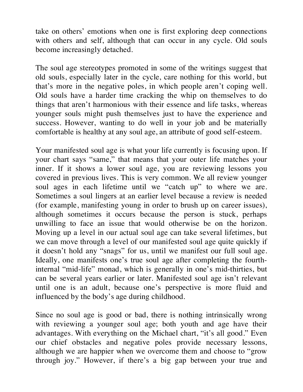take on others' emotions when one is first exploring deep connections with others and self, although that can occur in any cycle. Old souls become increasingly detached.

The soul age stereotypes promoted in some of the writings suggest that old souls, especially later in the cycle, care nothing for this world, but that's more in the negative poles, in which people aren't coping well. Old souls have a harder time cracking the whip on themselves to do things that aren't harmonious with their essence and life tasks, whereas younger souls might push themselves just to have the experience and success. However, wanting to do well in your job and be materially comfortable is healthy at any soul age, an attribute of good self-esteem.

Your manifested soul age is what your life currently is focusing upon. If your chart says "same," that means that your outer life matches your inner. If it shows a lower soul age, you are reviewing lessons you covered in previous lives. This is very common. We all review younger soul ages in each lifetime until we "catch up" to where we are. Sometimes a soul lingers at an earlier level because a review is needed (for example, manifesting young in order to brush up on career issues), although sometimes it occurs because the person is stuck, perhaps unwilling to face an issue that would otherwise be on the horizon. Moving up a level in our actual soul age can take several lifetimes, but we can move through a level of our manifested soul age quite quickly if it doesn't hold any "snags" for us, until we manifest our full soul age. Ideally, one manifests one's true soul age after completing the fourthinternal "mid-life" monad, which is generally in one's mid-thirties, but can be several years earlier or later. Manifested soul age isn't relevant until one is an adult, because one's perspective is more fluid and influenced by the body's age during childhood.

Since no soul age is good or bad, there is nothing intrinsically wrong with reviewing a younger soul age; both youth and age have their advantages. With everything on the Michael chart, "it's all good." Even our chief obstacles and negative poles provide necessary lessons, although we are happier when we overcome them and choose to "grow through joy." However, if there's a big gap between your true and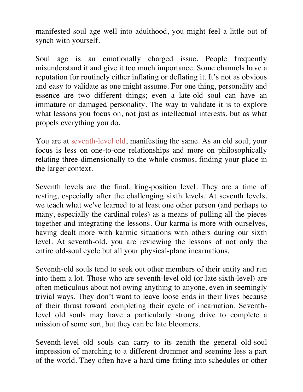manifested soul age well into adulthood, you might feel a little out of synch with yourself.

Soul age is an emotionally charged issue. People frequently misunderstand it and give it too much importance. Some channels have a reputation for routinely either inflating or deflating it. It's not as obvious and easy to validate as one might assume. For one thing, personality and essence are two different things; even a late-old soul can have an immature or damaged personality. The way to validate it is to explore what lessons you focus on, not just as intellectual interests, but as what propels everything you do.

You are at seventh-level old, manifesting the same. As an old soul, your focus is less on one-to-one relationships and more on philosophically relating three-dimensionally to the whole cosmos, finding your place in the larger context.

Seventh levels are the final, king-position level. They are a time of resting, especially after the challenging sixth levels. At seventh levels, we teach what we've learned to at least one other person (and perhaps to many, especially the cardinal roles) as a means of pulling all the pieces together and integrating the lessons. Our karma is more with ourselves, having dealt more with karmic situations with others during our sixth level. At seventh-old, you are reviewing the lessons of not only the entire old-soul cycle but all your physical-plane incarnations.

Seventh-old souls tend to seek out other members of their entity and run into them a lot. Those who are seventh-level old (or late sixth-level) are often meticulous about not owing anything to anyone, even in seemingly trivial ways. They don't want to leave loose ends in their lives because of their thrust toward completing their cycle of incarnation. Seventhlevel old souls may have a particularly strong drive to complete a mission of some sort, but they can be late bloomers.

Seventh-level old souls can carry to its zenith the general old-soul impression of marching to a different drummer and seeming less a part of the world. They often have a hard time fitting into schedules or other